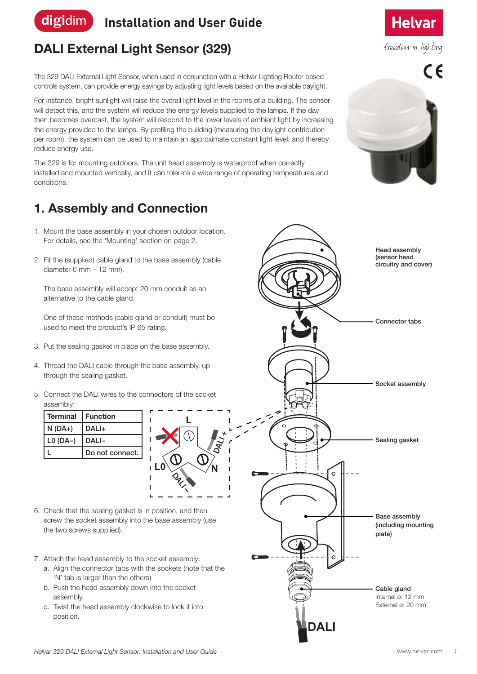#### digidim **Installation and User Guide**

## **DALI External Light Sensor (329)**

The 329 DALI External Light Sensor, when used in conjunction with a Helvar Lighting Router based controls system, can provide energy savings by adjusting light levels based on the available daylight.

For instance, bright sunlight will raise the overall light level in the rooms of a building. The sensor will detect this, and the system will reduce the energy levels supplied to the lamps. If the day then becomes overcast, the system will respond to the lower levels of ambient light by increasing the energy provided to the lamps. By profiling the building (measuring the daylight contribution per room), the system can be used to maintain an approximate constant light level, and thereby reduce energy use.

The 329 is for mounting outdoors. The unit head assembly is waterproof when correctly installed and mounted vertically, and it can tolerate a wide range of operating temperatures and conditions.

**L**

**DALI +**

**DALI -**

### **1. Assembly and Connection**

- 1. Mount the base assembly in your chosen outdoor location. For details, see the 'Mounting' section on page 2.
- 2. Fit the (supplied) cable gland to the base assembly (cable diameter 6 mm – 12 mm).

The base assembly will accept 20 mm conduit as an alternative to the cable gland.

One of these methods (cable gland or conduit) must be used to meet the product's IP 65 rating.

- 3. Put the sealing gasket in place on the base assembly.
- 4. Thread the DALI cable through the base assembly, up through the sealing gasket.
- 5. Connect the DALI wires to the connectors of the socket assembly:



6. Check that the sealing gasket is in position, and then screw the socket assembly into the base assembly (use the two screws supplied).

- 7. Attach the head assembly to the socket assembly:
	- a. Align the connector tabs with the sockets (note that the 'N' tab is larger than the others)
	- b. Push the head assembly down into the socket assembly.
	- c. Twist the head assembly clockwise to lock it into position.

**DALI**

 $\Theta$ 

Sealing gasket

Socket assembly

Connector tabs

Head assembly (sensor head circuitry and cover)

**Helvar** 

freedom in lighting

 $\epsilon$ 

Base assembly (including mounting

plate)

Cable gland Internal ø: 12 mm External ø: 20 mm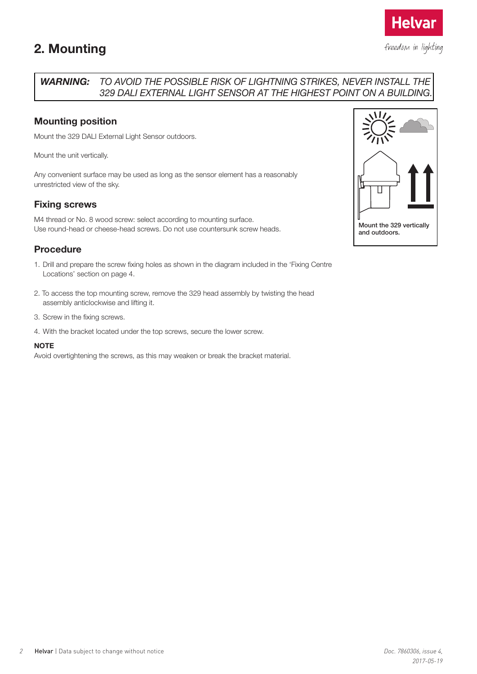### **2. Mounting**



**Helva** 

### *WARNING: TO AVOID THE POSSIBLE RISK OF LIGHTNING STRIKES, NEVER INSTALL THE 329 DALI EXTERNAL LIGHT SENSOR AT THE HIGHEST POINT ON A BUILDING.*

### **Mounting position**

Mount the 329 DALI External Light Sensor outdoors.

Mount the unit vertically.

Any convenient surface may be used as long as the sensor element has a reasonably unrestricted view of the sky.

### **Fixing screws**

M4 thread or No. 8 wood screw: select according to mounting surface. Use round-head or cheese-head screws. Do not use countersunk screw heads.

### **Procedure**

- 1. Drill and prepare the screw fixing holes as shown in the diagram included in the 'Fixing Centre Locations' section on page 4.
- 2. To access the top mounting screw, remove the 329 head assembly by twisting the head assembly anticlockwise and lifting it.
- 3. Screw in the fixing screws.
- 4. With the bracket located under the top screws, secure the lower screw.

#### **NOTE**

Avoid overtightening the screws, as this may weaken or break the bracket material.

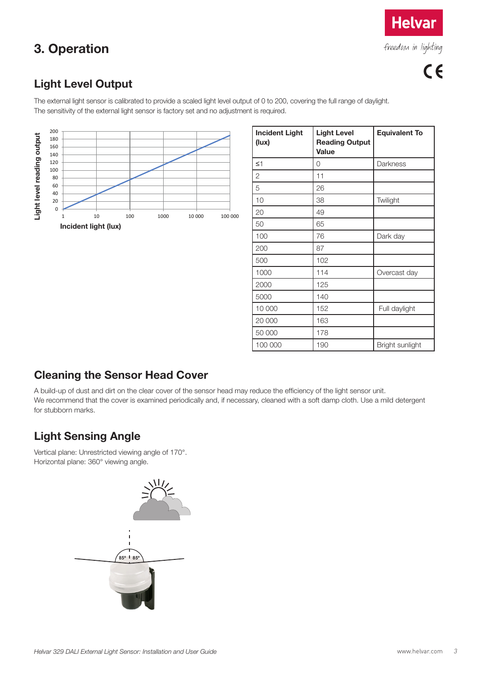## **3. Operation**

freedom in lighting

**Helvar** 

### **Light Level Output**

The external light sensor is calibrated to provide a scaled light level output of 0 to 200, covering the full range of daylight. The sensitivity of the external light sensor is factory set and no adjustment is required.



| <b>Incident Light</b><br>(lux) | <b>Light Level</b><br><b>Reading Output</b><br><b>Value</b> | <b>Equivalent To</b> |
|--------------------------------|-------------------------------------------------------------|----------------------|
| $\leq 1$                       | 0                                                           | Darkness             |
| $\mathbf{2}$                   | 11                                                          |                      |
| 5                              | 26                                                          |                      |
| 10                             | 38                                                          | Twilight             |
| 20                             | 49                                                          |                      |
| 50                             | 65                                                          |                      |
| 100                            | 76                                                          | Dark day             |
| 200                            | 87                                                          |                      |
| 500                            | 102                                                         |                      |
| 1000                           | 114                                                         | Overcast day         |
| 2000                           | 125                                                         |                      |
| 5000                           | 140                                                         |                      |
| 10 000                         | 152                                                         | Full daylight        |
| 20 000                         | 163                                                         |                      |
| 50 000                         | 178                                                         |                      |
| 100 000                        | 190                                                         | Bright sunlight      |

### **Cleaning the Sensor Head Cover**

A build-up of dust and dirt on the clear cover of the sensor head may reduce the efficiency of the light sensor unit. We recommend that the cover is examined periodically and, if necessary, cleaned with a soft damp cloth. Use a mild detergent for stubborn marks.

### **Light Sensing Angle**

Vertical plane: Unrestricted viewing angle of 170°. Horizontal plane: 360° viewing angle.